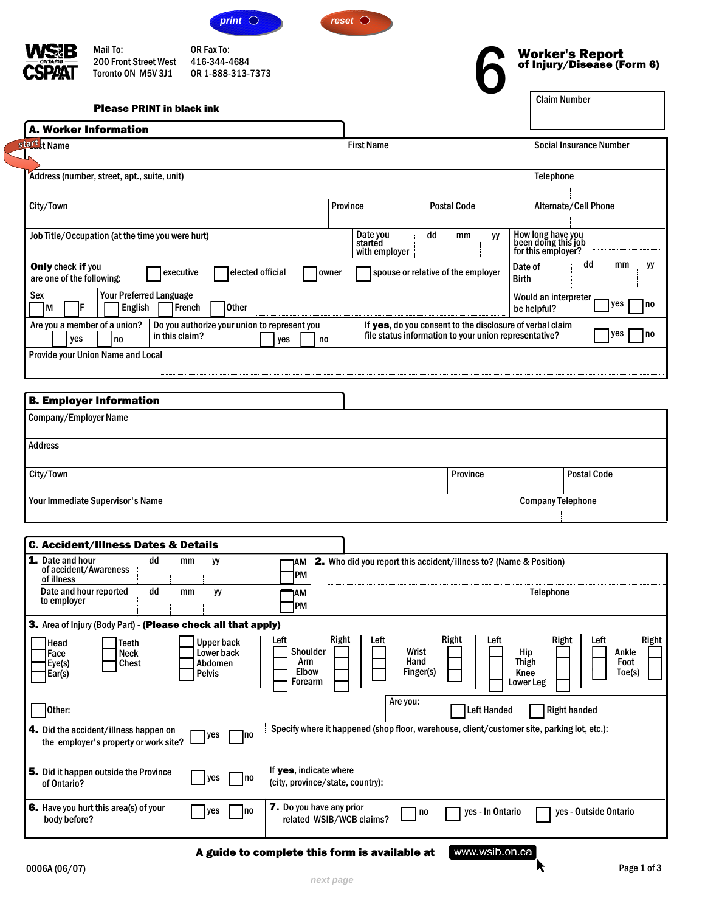



<span id="page-0-0"></span>

**Mail To:**

200 Front Street West Toronto ON M5V 3J1 **OR Fax To:** 416-344-4684 OR 1-888-313-7373 *reset*



٦

| <b>Please PRINT in black ink</b>                                                                                                                                                  |                                                                          |                                                                                                                   | viailli Nullivul                                                                                     |
|-----------------------------------------------------------------------------------------------------------------------------------------------------------------------------------|--------------------------------------------------------------------------|-------------------------------------------------------------------------------------------------------------------|------------------------------------------------------------------------------------------------------|
| <b>A. Worker Information</b>                                                                                                                                                      |                                                                          |                                                                                                                   |                                                                                                      |
| stard <sub>st</sub> Name                                                                                                                                                          | <b>First Name</b>                                                        |                                                                                                                   | <b>Social Insurance Number</b>                                                                       |
| Address (number, street, apt., suite, unit)                                                                                                                                       |                                                                          |                                                                                                                   | <b>Telephone</b>                                                                                     |
| City/Town                                                                                                                                                                         | <b>Province</b>                                                          | <b>Postal Code</b>                                                                                                | Alternate/Cell Phone                                                                                 |
| Job Title/Occupation (at the time you were hurt)                                                                                                                                  | Date you<br>started<br>with employer                                     | dd<br>mm<br>yy                                                                                                    | How long have you<br>been doing this job<br>for this employer?                                       |
| Only check if you<br>elected official<br>executive<br>owner<br>are one of the following:                                                                                          |                                                                          | spouse or relative of the employer                                                                                | dd<br>mm<br>yy<br>Date of<br><b>Birth</b>                                                            |
| <b>Your Preferred Language</b><br>Sex<br><b>Other</b><br>M<br>English<br>French<br>F                                                                                              |                                                                          |                                                                                                                   | Would an interpreter<br>yes<br>no<br>be helpful?                                                     |
| Are you a member of a union?<br>Do you authorize your union to represent you<br>in this claim?<br>yes<br>no<br>yes<br>no                                                          |                                                                          | If yes, do you consent to the disclosure of verbal claim<br>file status information to your union representative? | yes<br>no                                                                                            |
| Provide your Union Name and Local                                                                                                                                                 |                                                                          |                                                                                                                   |                                                                                                      |
|                                                                                                                                                                                   |                                                                          |                                                                                                                   |                                                                                                      |
| <b>B. Employer Information</b><br>Company/Employer Name                                                                                                                           |                                                                          |                                                                                                                   |                                                                                                      |
|                                                                                                                                                                                   |                                                                          |                                                                                                                   |                                                                                                      |
| Address                                                                                                                                                                           |                                                                          |                                                                                                                   |                                                                                                      |
| City/Town                                                                                                                                                                         |                                                                          | Province                                                                                                          | <b>Postal Code</b>                                                                                   |
| Your Immediate Supervisor's Name                                                                                                                                                  |                                                                          |                                                                                                                   | <b>Company Telephone</b>                                                                             |
|                                                                                                                                                                                   |                                                                          |                                                                                                                   |                                                                                                      |
| <b>C. Accident/Illness Dates &amp; Details</b>                                                                                                                                    |                                                                          |                                                                                                                   |                                                                                                      |
| 1. Date and hour<br>dd<br>mm<br>уy<br>ИΜ<br>of accident/Awareness<br> PM<br>of illness                                                                                            | <b>2.</b> Who did you report this accident/illness to? (Name & Position) |                                                                                                                   |                                                                                                      |
| Date and hour reported<br>dd<br>mm<br>yy<br>ИΜ<br>to employer<br>PМ                                                                                                               |                                                                          |                                                                                                                   | <b>Telephone</b>                                                                                     |
| 3. Area of Injury (Body Part) - (Please check all that apply)                                                                                                                     |                                                                          |                                                                                                                   |                                                                                                      |
| Right<br>Left<br><b>Upper back</b><br>Head<br>Teeth<br>Shoulder<br>Lower back<br>Neck<br>Face<br>Arm<br>Abdomen<br>Chest<br>Eye(s)<br><b>Elbow</b><br>Pelvis<br>Ear(s)<br>Forearm | Left<br>Wrist<br>Hand<br>Finger(s)                                       | Right<br>Left                                                                                                     | Right<br>Left<br>Right<br>Hip<br>Ankle<br>Foot<br><b>Thigh</b><br>Knee<br>Toe(s)<br><b>Lower Leg</b> |
| Other:                                                                                                                                                                            | Are you:                                                                 | <b>Left Handed</b>                                                                                                | <b>Right handed</b>                                                                                  |
| 4. Did the accident/illness happen on<br>yes<br> no<br>the employer's property or work site?                                                                                      |                                                                          |                                                                                                                   | Specify where it happened (shop floor, warehouse, client/customer site, parking lot, etc.):          |
| If yes, indicate where<br>5. Did it happen outside the Province<br>yes<br> no<br>(city, province/state, country):<br>of Ontario?                                                  |                                                                          |                                                                                                                   |                                                                                                      |
| 6. Have you hurt this area(s) of your<br>7. Do you have any prior<br>yes<br> no<br>related WSIB/WCB claims?<br>body before?                                                       | no                                                                       | yes - In Ontario                                                                                                  | yes - Outside Ontario                                                                                |

A guide to complete this form is available at

www.wsib.on.ca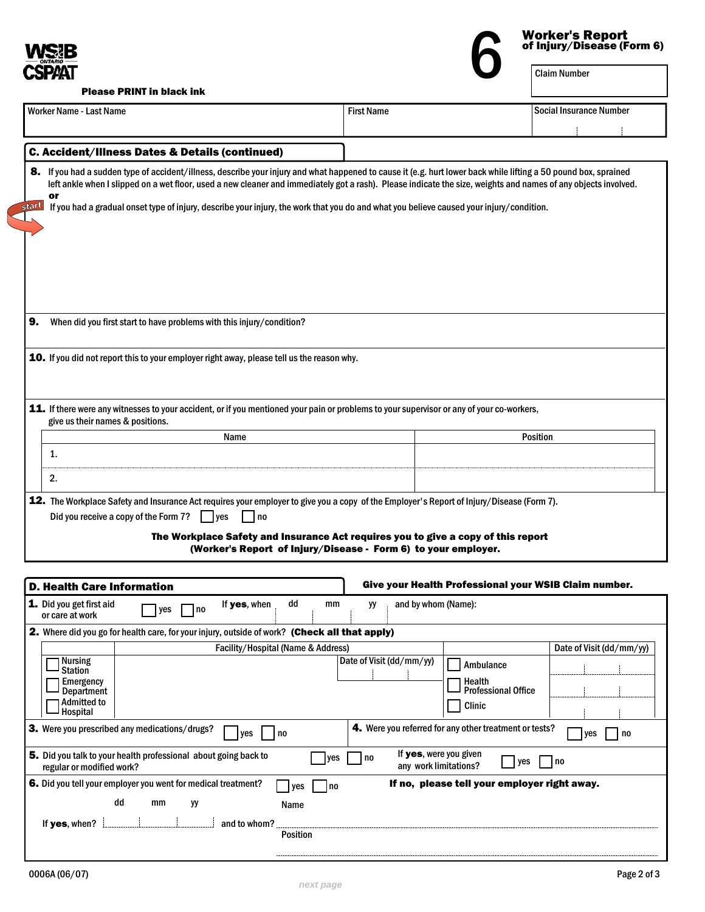<span id="page-1-0"></span>

| Worker's Report<br>of Injury/Disease (Form 6) |
|-----------------------------------------------|
| Claim Number                                  |

Please PRINT in black ink

| <b>Worker Name - Last Name</b>                                                                                                                                                                                                                                                                                                           | <b>First Name</b>                                                                                                                                   | <b>Social Insurance Number</b>                                      |
|------------------------------------------------------------------------------------------------------------------------------------------------------------------------------------------------------------------------------------------------------------------------------------------------------------------------------------------|-----------------------------------------------------------------------------------------------------------------------------------------------------|---------------------------------------------------------------------|
|                                                                                                                                                                                                                                                                                                                                          |                                                                                                                                                     |                                                                     |
| C. Accident/Illness Dates & Details (continued)                                                                                                                                                                                                                                                                                          |                                                                                                                                                     |                                                                     |
| 8. If you had a sudden type of accident/illness, describe your injury and what happened to cause it (e.g. hurt lower back while lifting a 50 pound box, sprained<br>left ankle when I slipped on a wet floor, used a new cleaner and immediately got a rash). Please indicate the size, weights and names of any objects involved.<br>or |                                                                                                                                                     |                                                                     |
| If you had a gradual onset type of injury, describe your injury, the work that you do and what you believe caused your injury/condition.<br>start                                                                                                                                                                                        |                                                                                                                                                     |                                                                     |
| 9.<br>When did you first start to have problems with this injury/condition?                                                                                                                                                                                                                                                              |                                                                                                                                                     |                                                                     |
| 10. If you did not report this to your employer right away, please tell us the reason why.                                                                                                                                                                                                                                               |                                                                                                                                                     |                                                                     |
| 11. If there were any witnesses to your accident, or if you mentioned your pain or problems to your supervisor or any of your co-workers,<br>give us their names & positions.                                                                                                                                                            |                                                                                                                                                     |                                                                     |
| Name                                                                                                                                                                                                                                                                                                                                     |                                                                                                                                                     | <b>Position</b>                                                     |
| 1.                                                                                                                                                                                                                                                                                                                                       |                                                                                                                                                     |                                                                     |
| 2.                                                                                                                                                                                                                                                                                                                                       |                                                                                                                                                     |                                                                     |
| Did you receive a copy of the Form 7?<br>I Ives<br>  no                                                                                                                                                                                                                                                                                  | The Workplace Safety and Insurance Act requires you to give a copy of this report<br>(Worker's Report of Injury/Disease - Form 6) to your employer. |                                                                     |
| <b>D. Health Care Information</b>                                                                                                                                                                                                                                                                                                        |                                                                                                                                                     | Give your Health Professional your WSIB Claim number.               |
| 1. Did you get first aid<br>If yes, when<br>yes<br>l no<br>or care at work                                                                                                                                                                                                                                                               | dd<br>mm<br>yy                                                                                                                                      | and by whom (Name):                                                 |
| 2. Where did you go for health care, for your injury, outside of work? (Check all that apply)                                                                                                                                                                                                                                            |                                                                                                                                                     |                                                                     |
| <b>Nursing</b>                                                                                                                                                                                                                                                                                                                           | Facility/Hospital (Name & Address)<br>Date of Visit (dd/mm/yy)                                                                                      | Date of Visit (dd/mm/yy)                                            |
| <b>Station</b><br><b>Emergency</b>                                                                                                                                                                                                                                                                                                       |                                                                                                                                                     | Ambulance<br>Health                                                 |
| <b>Department</b><br><b>Admitted to</b><br>Hospital                                                                                                                                                                                                                                                                                      |                                                                                                                                                     | <b>Professional Office</b><br><b>Clinic</b>                         |
| 3. Were you prescribed any medications/drugs?<br>yes                                                                                                                                                                                                                                                                                     | no                                                                                                                                                  | 4. Were you referred for any other treatment or tests?<br>yes<br>no |
| 5. Did you talk to your health professional about going back to<br>regular or modified work?                                                                                                                                                                                                                                             | no<br>yes                                                                                                                                           | If yes, were you given<br>$ $ yes<br> no<br>any work limitations?   |
| 6. Did you tell your employer you went for medical treatment?<br>dd<br>mm<br>yy<br>If yes, when?<br>and to whom?                                                                                                                                                                                                                         | l yes<br>  no<br>Name<br><b>Position</b>                                                                                                            | If no, please tell your employer right away.                        |
|                                                                                                                                                                                                                                                                                                                                          |                                                                                                                                                     |                                                                     |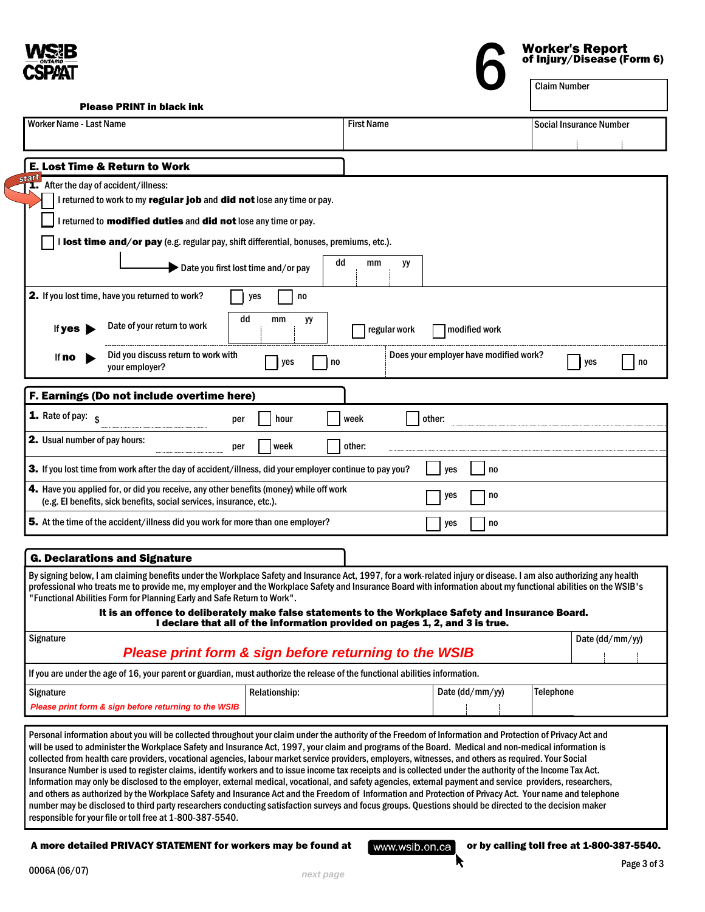<span id="page-2-0"></span>

**Worker's Report**<br>
of Injury/Disease (Form 6)<br> **6** Claim Number

Please PRINT in black ink

| <b>Worker Name - Last Name</b>                                                                                                                                                                                                                                                                                                                                                                                                                                                                                                                                                                                                                                                                                                                                                                                                                                                                                                                                                                                                                                                                                                  |                                                                              | <b>First Name</b> |                                        | <b>Social Insurance Number</b>             |
|---------------------------------------------------------------------------------------------------------------------------------------------------------------------------------------------------------------------------------------------------------------------------------------------------------------------------------------------------------------------------------------------------------------------------------------------------------------------------------------------------------------------------------------------------------------------------------------------------------------------------------------------------------------------------------------------------------------------------------------------------------------------------------------------------------------------------------------------------------------------------------------------------------------------------------------------------------------------------------------------------------------------------------------------------------------------------------------------------------------------------------|------------------------------------------------------------------------------|-------------------|----------------------------------------|--------------------------------------------|
|                                                                                                                                                                                                                                                                                                                                                                                                                                                                                                                                                                                                                                                                                                                                                                                                                                                                                                                                                                                                                                                                                                                                 |                                                                              |                   |                                        |                                            |
| <b>E. Lost Time &amp; Return to Work</b>                                                                                                                                                                                                                                                                                                                                                                                                                                                                                                                                                                                                                                                                                                                                                                                                                                                                                                                                                                                                                                                                                        |                                                                              |                   |                                        |                                            |
| istan<br><b>1.</b> After the day of accident/illness:                                                                                                                                                                                                                                                                                                                                                                                                                                                                                                                                                                                                                                                                                                                                                                                                                                                                                                                                                                                                                                                                           |                                                                              |                   |                                        |                                            |
| I returned to work to my regular job and did not lose any time or pay.                                                                                                                                                                                                                                                                                                                                                                                                                                                                                                                                                                                                                                                                                                                                                                                                                                                                                                                                                                                                                                                          |                                                                              |                   |                                        |                                            |
| I returned to <b>modified duties</b> and <b>did not</b> lose any time or pay.                                                                                                                                                                                                                                                                                                                                                                                                                                                                                                                                                                                                                                                                                                                                                                                                                                                                                                                                                                                                                                                   |                                                                              |                   |                                        |                                            |
| I lost time and/or pay (e.g. regular pay, shift differential, bonuses, premiums, etc.).                                                                                                                                                                                                                                                                                                                                                                                                                                                                                                                                                                                                                                                                                                                                                                                                                                                                                                                                                                                                                                         |                                                                              |                   |                                        |                                            |
|                                                                                                                                                                                                                                                                                                                                                                                                                                                                                                                                                                                                                                                                                                                                                                                                                                                                                                                                                                                                                                                                                                                                 | dd                                                                           | mm<br>уy          |                                        |                                            |
|                                                                                                                                                                                                                                                                                                                                                                                                                                                                                                                                                                                                                                                                                                                                                                                                                                                                                                                                                                                                                                                                                                                                 | Date you first lost time and/or pay                                          |                   |                                        |                                            |
| <b>2.</b> If you lost time, have you returned to work?                                                                                                                                                                                                                                                                                                                                                                                                                                                                                                                                                                                                                                                                                                                                                                                                                                                                                                                                                                                                                                                                          | no<br>yes                                                                    |                   |                                        |                                            |
| Date of your return to work<br>If $yes$                                                                                                                                                                                                                                                                                                                                                                                                                                                                                                                                                                                                                                                                                                                                                                                                                                                                                                                                                                                                                                                                                         | dd<br>mm<br>yy                                                               | regular work      | modified work                          |                                            |
| Did you discuss return to work with<br>lf <b>no</b><br>your employer?                                                                                                                                                                                                                                                                                                                                                                                                                                                                                                                                                                                                                                                                                                                                                                                                                                                                                                                                                                                                                                                           | yes<br>no                                                                    |                   | Does your employer have modified work? | yes                                        |
| F. Earnings (Do not include overtime here)                                                                                                                                                                                                                                                                                                                                                                                                                                                                                                                                                                                                                                                                                                                                                                                                                                                                                                                                                                                                                                                                                      |                                                                              |                   |                                        |                                            |
| <b>1.</b> Rate of pay: $\frac{1}{3}$                                                                                                                                                                                                                                                                                                                                                                                                                                                                                                                                                                                                                                                                                                                                                                                                                                                                                                                                                                                                                                                                                            | hour<br>per                                                                  | week              | other:                                 |                                            |
| <b>2.</b> Usual number of pay hours:                                                                                                                                                                                                                                                                                                                                                                                                                                                                                                                                                                                                                                                                                                                                                                                                                                                                                                                                                                                                                                                                                            | week<br>per                                                                  | other:            |                                        |                                            |
| 3. If you lost time from work after the day of accident/illness, did your employer continue to pay you?                                                                                                                                                                                                                                                                                                                                                                                                                                                                                                                                                                                                                                                                                                                                                                                                                                                                                                                                                                                                                         |                                                                              |                   | no<br>yes                              |                                            |
| 4. Have you applied for, or did you receive, any other benefits (money) while off work<br>(e.g. El benefits, sick benefits, social services, insurance, etc.).                                                                                                                                                                                                                                                                                                                                                                                                                                                                                                                                                                                                                                                                                                                                                                                                                                                                                                                                                                  |                                                                              |                   | yes<br>no                              |                                            |
| 5. At the time of the accident/illness did you work for more than one employer?                                                                                                                                                                                                                                                                                                                                                                                                                                                                                                                                                                                                                                                                                                                                                                                                                                                                                                                                                                                                                                                 |                                                                              |                   | yes<br>no                              |                                            |
|                                                                                                                                                                                                                                                                                                                                                                                                                                                                                                                                                                                                                                                                                                                                                                                                                                                                                                                                                                                                                                                                                                                                 |                                                                              |                   |                                        |                                            |
| <b>G. Declarations and Signature</b>                                                                                                                                                                                                                                                                                                                                                                                                                                                                                                                                                                                                                                                                                                                                                                                                                                                                                                                                                                                                                                                                                            |                                                                              |                   |                                        |                                            |
| By signing below, I am claiming benefits under the Workplace Safety and Insurance Act, 1997, for a work-related injury or disease. I am also authorizing any health<br>professional who treats me to provide me, my employer and the Workplace Safety and Insurance Board with information about my functional abilities on the WSIB's<br>"Functional Abilities Form for Planning Early and Safe Return to Work".<br>It is an offence to deliberately make false statements to the Workplace Safety and Insurance Board.<br>Signature                                                                                                                                                                                                                                                                                                                                                                                                                                                                                                                                                                                           | I declare that all of the information provided on pages 1, 2, and 3 is true. |                   |                                        | Date (dd/mm/yy)                            |
|                                                                                                                                                                                                                                                                                                                                                                                                                                                                                                                                                                                                                                                                                                                                                                                                                                                                                                                                                                                                                                                                                                                                 | Please print form & sign before returning to the WSIB                        |                   |                                        |                                            |
| If you are under the age of 16, your parent or guardian, must authorize the release of the functional abilities information.                                                                                                                                                                                                                                                                                                                                                                                                                                                                                                                                                                                                                                                                                                                                                                                                                                                                                                                                                                                                    |                                                                              |                   |                                        |                                            |
| Signature                                                                                                                                                                                                                                                                                                                                                                                                                                                                                                                                                                                                                                                                                                                                                                                                                                                                                                                                                                                                                                                                                                                       | Relationship:                                                                |                   | Date (dd/mm/yy)                        | <b>Telephone</b>                           |
| Please print form & sign before returning to the WSIB                                                                                                                                                                                                                                                                                                                                                                                                                                                                                                                                                                                                                                                                                                                                                                                                                                                                                                                                                                                                                                                                           |                                                                              |                   |                                        |                                            |
| Personal information about you will be collected throughout your claim under the authority of the Freedom of Information and Protection of Privacy Act and<br>will be used to administer the Workplace Safety and Insurance Act, 1997, your claim and programs of the Board. Medical and non-medical information is<br>collected from health care providers, vocational agencies, labour market service providers, employers, witnesses, and others as required. Your Social<br>Insurance Number is used to register claims, identify workers and to issue income tax receipts and is collected under the authority of the Income Tax Act.<br>Information may only be disclosed to the employer, external medical, vocational, and safety agencies, external payment and service providers, researchers,<br>and others as authorized by the Workplace Safety and Insurance Act and the Freedom of Information and Protection of Privacy Act. Your name and telephone<br>number may be disclosed to third party researchers conducting satisfaction surveys and focus groups. Questions should be directed to the decision maker |                                                                              |                   |                                        |                                            |
| responsible for your file or toll free at 1-800-387-5540.                                                                                                                                                                                                                                                                                                                                                                                                                                                                                                                                                                                                                                                                                                                                                                                                                                                                                                                                                                                                                                                                       |                                                                              |                   |                                        |                                            |
| A more detailed PRIVACY STATEMENT for workers may be found at                                                                                                                                                                                                                                                                                                                                                                                                                                                                                                                                                                                                                                                                                                                                                                                                                                                                                                                                                                                                                                                                   |                                                                              | www.wsib.on.ca    |                                        | or by calling toll free at 1-800-387-5540. |
| 0006A (06/07)                                                                                                                                                                                                                                                                                                                                                                                                                                                                                                                                                                                                                                                                                                                                                                                                                                                                                                                                                                                                                                                                                                                   | next page                                                                    |                   | п                                      | Page 3 of 3                                |